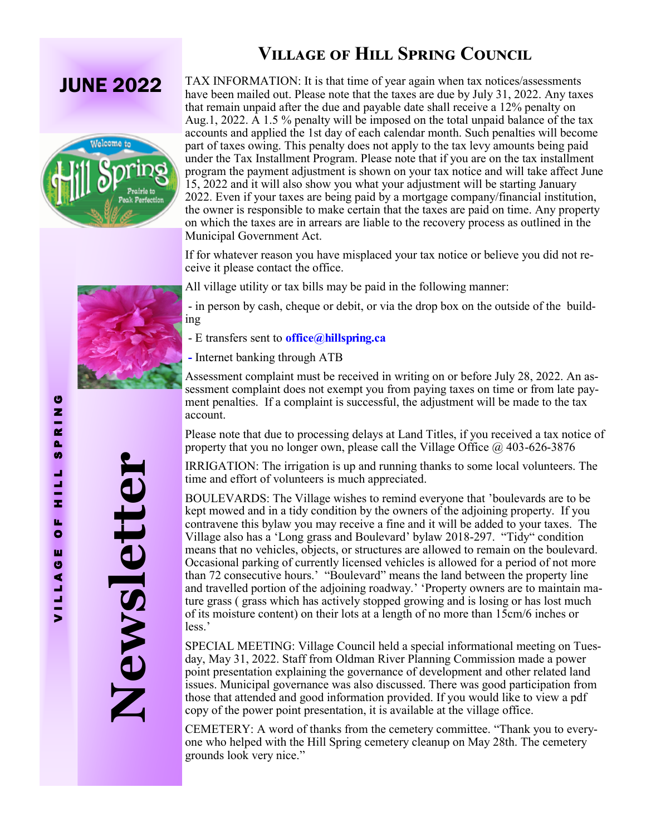## **JUNE 2022**



TAX INFORMATION: It is that time of year again when tax notices/assessments have been mailed out. Please note that the taxes are due by July 31, 2022. Any taxes that remain unpaid after the due and payable date shall receive a 12% penalty on Aug.1, 2022. A 1.5 % penalty will be imposed on the total unpaid balance of the tax accounts and applied the 1st day of each calendar month. Such penalties will become part of taxes owing. This penalty does not apply to the tax levy amounts being paid under the Tax Installment Program. Please note that if you are on the tax installment program the payment adjustment is shown on your tax notice and will take affect June 15, 2022 and it will also show you what your adjustment will be starting January 2022. Even if your taxes are being paid by a mortgage company/financial institution, the owner is responsible to make certain that the taxes are paid on time. Any property on which the taxes are in arrears are liable to the recovery process as outlined in the Municipal Government Act.

If for whatever reason you have misplaced your tax notice or believe you did not receive it please contact the office.

All village utility or tax bills may be paid in the following manner:

- in person by cash, cheque or debit, or via the drop box on the outside of the building

- E transfers sent to **office@hillspring.ca**
- **-** Internet banking through ATB

Assessment complaint must be received in writing on or before July 28, 2022. An assessment complaint does not exempt you from paying taxes on time or from late payment penalties. If a complaint is successful, the adjustment will be made to the tax account.

Please note that due to processing delays at Land Titles, if you received a tax notice of property that you no longer own, please call the Village Office  $@$  403-626-3876

IRRIGATION: The irrigation is up and running thanks to some local volunteers. The time and effort of volunteers is much appreciated.

BOULEVARDS: The Village wishes to remind everyone that 'boulevards are to be kept mowed and in a tidy condition by the owners of the adjoining property. If you contravene this bylaw you may receive a fine and it will be added to your taxes. The Village also has a 'Long grass and Boulevard' bylaw 2018-297. "Tidy" condition means that no vehicles, objects, or structures are allowed to remain on the boulevard. Occasional parking of currently licensed vehicles is allowed for a period of not more than 72 consecutive hours.' "Boulevard" means the land between the property line and travelled portion of the adjoining roadway.' 'Property owners are to maintain mature grass ( grass which has actively stopped growing and is losing or has lost much of its moisture content) on their lots at a length of no more than 15cm/6 inches or less.'

SPECIAL MEETING: Village Council held a special informational meeting on Tuesday, May 31, 2022. Staff from Oldman River Planning Commission made a power point presentation explaining the governance of development and other related land issues. Municipal governance was also discussed. There was good participation from those that attended and good information provided. If you would like to view a pdf copy of the power point presentation, it is available at the village office.

CEMETERY: A word of thanks from the cemetery committee. "Thank you to everyone who helped with the Hill Spring cemetery cleanup on May 28th. The cemetery grounds look very nice."

**Newsletter**